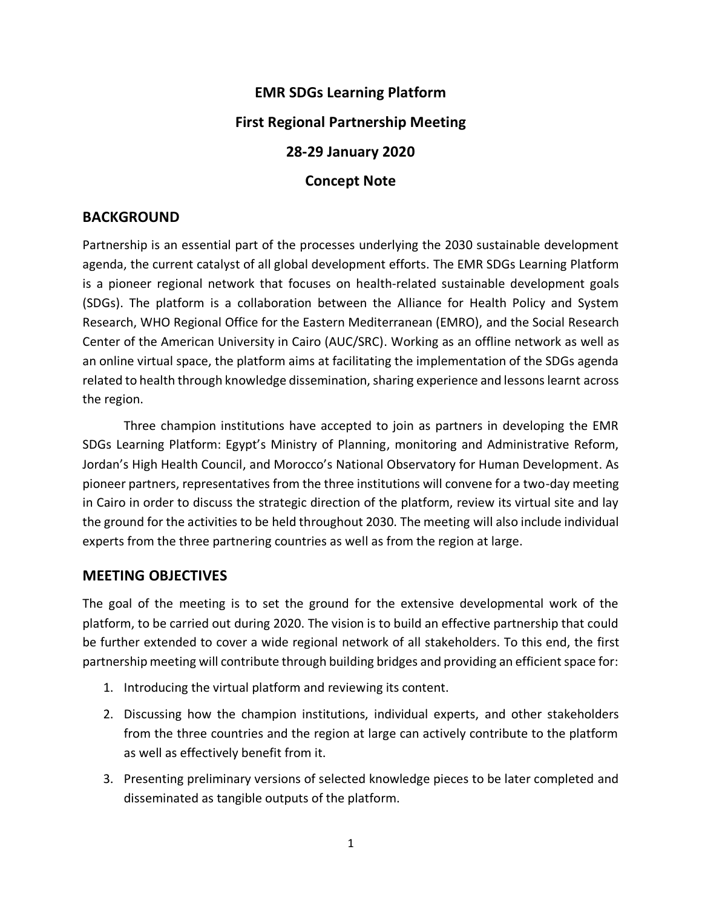# **EMR SDGs Learning Platform First Regional Partnership Meeting 28-29 January 2020 Concept Note**

## **BACKGROUND**

Partnership is an essential part of the processes underlying the 2030 sustainable development agenda, the current catalyst of all global development efforts. The EMR SDGs Learning Platform is a pioneer regional network that focuses on health-related sustainable development goals (SDGs). The platform is a collaboration between the Alliance for Health Policy and System Research, WHO Regional Office for the Eastern Mediterranean (EMRO), and the Social Research Center of the American University in Cairo (AUC/SRC). Working as an offline network as well as an online virtual space, the platform aims at facilitating the implementation of the SDGs agenda related to health through knowledge dissemination, sharing experience and lessons learnt across the region.

Three champion institutions have accepted to join as partners in developing the EMR SDGs Learning Platform: Egypt's Ministry of Planning, monitoring and Administrative Reform, Jordan's High Health Council, and Morocco's National Observatory for Human Development. As pioneer partners, representatives from the three institutions will convene for a two-day meeting in Cairo in order to discuss the strategic direction of the platform, review its virtual site and lay the ground for the activities to be held throughout 2030. The meeting will also include individual experts from the three partnering countries as well as from the region at large.

#### **MEETING OBJECTIVES**

The goal of the meeting is to set the ground for the extensive developmental work of the platform, to be carried out during 2020. The vision is to build an effective partnership that could be further extended to cover a wide regional network of all stakeholders. To this end, the first partnership meeting will contribute through building bridges and providing an efficient space for:

- 1. Introducing the virtual platform and reviewing its content.
- 2. Discussing how the champion institutions, individual experts, and other stakeholders from the three countries and the region at large can actively contribute to the platform as well as effectively benefit from it.
- 3. Presenting preliminary versions of selected knowledge pieces to be later completed and disseminated as tangible outputs of the platform.